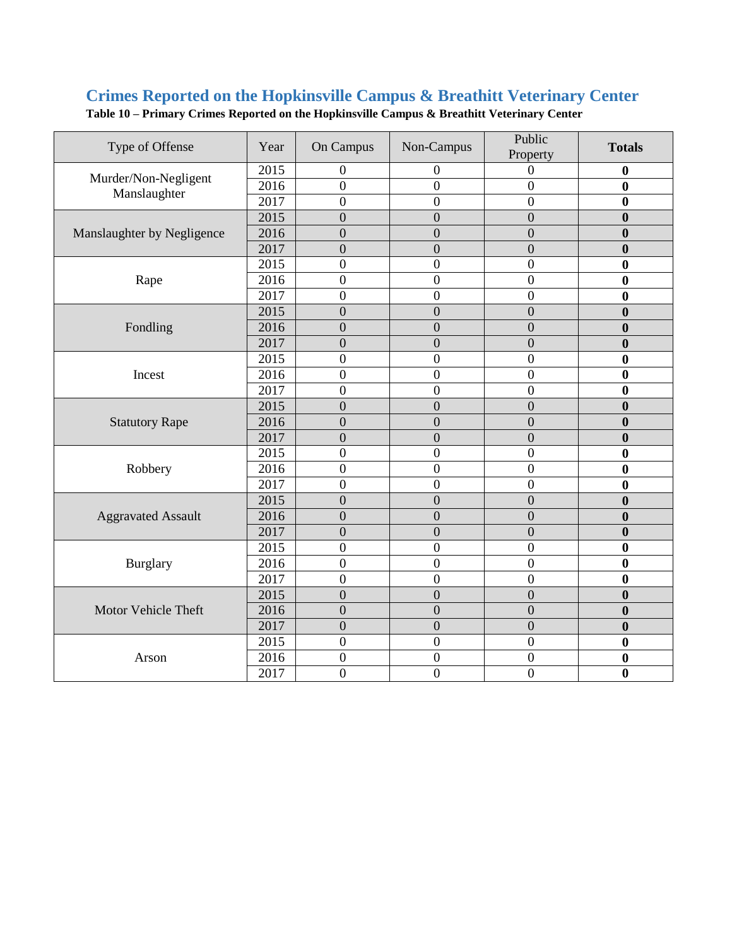## **Crimes Reported on the Hopkinsville Campus & Breathitt Veterinary Center**

| Type of Offense                      | Year | On Campus        | Non-Campus       | Public<br>Property | <b>Totals</b>    |
|--------------------------------------|------|------------------|------------------|--------------------|------------------|
| Murder/Non-Negligent<br>Manslaughter | 2015 | $\boldsymbol{0}$ | 0                | 0                  | 0                |
|                                      | 2016 | $\boldsymbol{0}$ | 0                | 0                  | $\bf{0}$         |
|                                      | 2017 | $\overline{0}$   | $\boldsymbol{0}$ | $\overline{0}$     | $\bf{0}$         |
|                                      | 2015 | $\boldsymbol{0}$ | $\overline{0}$   | $\overline{0}$     | $\boldsymbol{0}$ |
| Manslaughter by Negligence           | 2016 | $\overline{0}$   | $\overline{0}$   | $\overline{0}$     | $\boldsymbol{0}$ |
|                                      | 2017 | $\overline{0}$   | $\overline{0}$   | $\overline{0}$     | $\boldsymbol{0}$ |
|                                      | 2015 | $\overline{0}$   | $\boldsymbol{0}$ | $\boldsymbol{0}$   | $\bf{0}$         |
| Rape                                 | 2016 | $\overline{0}$   | $\overline{0}$   | $\overline{0}$     | $\mathbf{0}$     |
|                                      | 2017 | $\boldsymbol{0}$ | $\boldsymbol{0}$ | $\boldsymbol{0}$   | $\boldsymbol{0}$ |
|                                      | 2015 | $\boldsymbol{0}$ | $\overline{0}$   | $\boldsymbol{0}$   | $\boldsymbol{0}$ |
| Fondling                             | 2016 | $\overline{0}$   | $\overline{0}$   | $\overline{0}$     | $\boldsymbol{0}$ |
|                                      | 2017 | $\overline{0}$   | $\overline{0}$   | $\overline{0}$     | $\mathbf{0}$     |
|                                      | 2015 | $\overline{0}$   | $\overline{0}$   | $\mathbf{0}$       | $\bf{0}$         |
| Incest                               | 2016 | $\overline{0}$   | $\boldsymbol{0}$ | $\overline{0}$     | $\bf{0}$         |
|                                      | 2017 | $\overline{0}$   | $\overline{0}$   | $\overline{0}$     | $\boldsymbol{0}$ |
|                                      | 2015 | $\overline{0}$   | $\overline{0}$   | $\overline{0}$     | $\bf{0}$         |
| <b>Statutory Rape</b>                | 2016 | $\overline{0}$   | $\overline{0}$   | $\overline{0}$     | $\boldsymbol{0}$ |
|                                      | 2017 | $\overline{0}$   | $\overline{0}$   | $\overline{0}$     | $\boldsymbol{0}$ |
|                                      | 2015 | $\overline{0}$   | $\boldsymbol{0}$ | $\mathbf{0}$       | $\boldsymbol{0}$ |
| Robbery                              | 2016 | $\overline{0}$   | $\overline{0}$   | $\overline{0}$     | $\bf{0}$         |
|                                      | 2017 | $\overline{0}$   | $\boldsymbol{0}$ | $\boldsymbol{0}$   | $\bf{0}$         |
| <b>Aggravated Assault</b>            | 2015 | $\overline{0}$   | $\overline{0}$   | $\overline{0}$     | $\mathbf{0}$     |
|                                      | 2016 | $\overline{0}$   | $\overline{0}$   | $\overline{0}$     | $\bf{0}$         |
|                                      | 2017 | $\boldsymbol{0}$ | $\overline{0}$   | $\boldsymbol{0}$   | $\boldsymbol{0}$ |
| Burglary                             | 2015 | $\overline{0}$   | $\boldsymbol{0}$ | $\mathbf{0}$       | $\bf{0}$         |
|                                      | 2016 | $\overline{0}$   | $\overline{0}$   | $\overline{0}$     | $\bf{0}$         |
|                                      | 2017 | $\overline{0}$   | $\overline{0}$   | $\overline{0}$     | $\bf{0}$         |
| Motor Vehicle Theft                  | 2015 | $\overline{0}$   | $\overline{0}$   | $\overline{0}$     | $\bf{0}$         |
|                                      | 2016 | $\overline{0}$   | $\overline{0}$   | $\overline{0}$     | $\bf{0}$         |
|                                      | 2017 | $\overline{0}$   | $\overline{0}$   | $\overline{0}$     | $\bf{0}$         |
| Arson                                | 2015 | $\boldsymbol{0}$ | $\boldsymbol{0}$ | $\boldsymbol{0}$   | $\boldsymbol{0}$ |
|                                      | 2016 | $\boldsymbol{0}$ | $\boldsymbol{0}$ | $\boldsymbol{0}$   | $\bf{0}$         |
|                                      | 2017 | $\overline{0}$   | $\overline{0}$   | $\overline{0}$     | $\bf{0}$         |

**Table 10 – Primary Crimes Reported on the Hopkinsville Campus & Breathitt Veterinary Center**